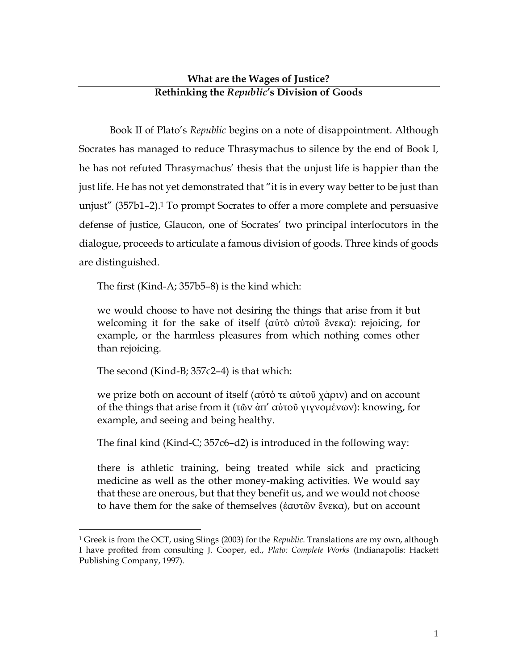## **What are the Wages of Justice? Rethinking the** *Republic***'s Division of Goods**

Book II of Plato's *Republic* begins on a note of disappointment. Although Socrates has managed to reduce Thrasymachus to silence by the end of Book I, he has not refuted Thrasymachus' thesis that the unjust life is happier than the just life. He has not yet demonstrated that "it is in every way better to be just than unjust" (357b1–2).<sup>1</sup> To prompt Socrates to offer a more complete and persuasive defense of justice, Glaucon, one of Socrates' two principal interlocutors in the dialogue, proceeds to articulate a famous division of goods. Three kinds of goods are distinguished.

The first (Kind-A; 357b5–8) is the kind which:

we would choose to have not desiring the things that arise from it but welcoming it for the sake of itself (αὐτὸ αὑτοῦ ἕνεκα): rejoicing, for example, or the harmless pleasures from which nothing comes other than rejoicing.

The second (Kind-B; 357c2–4) is that which:

 $\overline{a}$ 

we prize both on account of itself (αὐτό τε αὑτοῦ χάριν) and on account of the things that arise from it (τῶν ἀπ' αὐτοῦ γιγνομένων): knowing, for example, and seeing and being healthy.

The final kind (Kind-C; 357c6–d2) is introduced in the following way:

there is athletic training, being treated while sick and practicing medicine as well as the other money-making activities. We would say that these are onerous, but that they benefit us, and we would not choose to have them for the sake of themselves (ἑαυτῶν ἕνεκα), but on account

<sup>1</sup> Greek is from the OCT, using Slings (2003) for the *Republic*. Translations are my own, although I have profited from consulting J. Cooper, ed., *Plato: Complete Works* (Indianapolis: Hackett Publishing Company, 1997).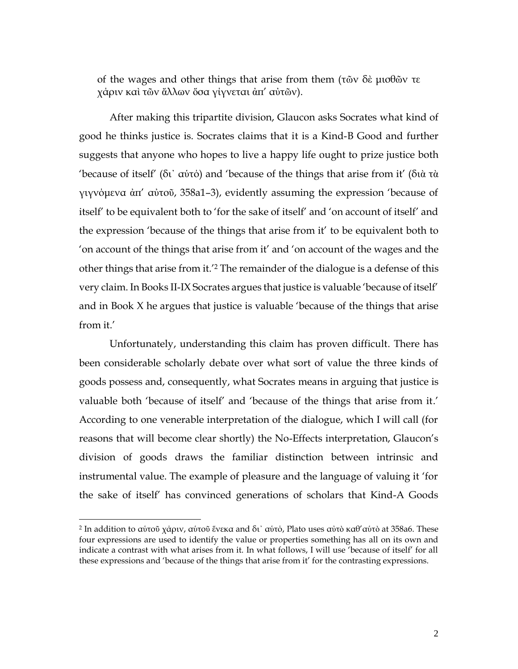of the wages and other things that arise from them (τῶν δὲ μισθῶν τε χάριν καὶ τῶν ἄλλων ὅσα γίγνεται ἀπ' αὐτῶν).

After making this tripartite division, Glaucon asks Socrates what kind of good he thinks justice is. Socrates claims that it is a Kind-B Good and further suggests that anyone who hopes to live a happy life ought to prize justice both 'because of itself' (δι᾽ αὑτό) and 'because of the things that arise from it' (διὰ τὰ γιγνόμενα ἀπ' αὐτοῦ, 358a1–3), evidently assuming the expression 'because of itself' to be equivalent both to 'for the sake of itself' and 'on account of itself' and the expression 'because of the things that arise from it' to be equivalent both to 'on account of the things that arise from it' and 'on account of the wages and the other things that arise from it.'<sup>2</sup> The remainder of the dialogue is a defense of this very claim. In Books II-IX Socrates argues that justice is valuable 'because of itself' and in Book X he argues that justice is valuable 'because of the things that arise from it.'

Unfortunately, understanding this claim has proven difficult. There has been considerable scholarly debate over what sort of value the three kinds of goods possess and, consequently, what Socrates means in arguing that justice is valuable both 'because of itself' and 'because of the things that arise from it.' According to one venerable interpretation of the dialogue, which I will call (for reasons that will become clear shortly) the No-Effects interpretation, Glaucon's division of goods draws the familiar distinction between intrinsic and instrumental value. The example of pleasure and the language of valuing it 'for the sake of itself' has convinced generations of scholars that Kind-A Goods

<sup>2</sup> In addition to αὑτοῦ χάριν, αὑτοῦ ἕνεκα and δι᾽ αὑτό, Plato uses αὐτὸ καθ'αὑτὸ at 358a6. These four expressions are used to identify the value or properties something has all on its own and indicate a contrast with what arises from it. In what follows, I will use 'because of itself' for all these expressions and 'because of the things that arise from it' for the contrasting expressions.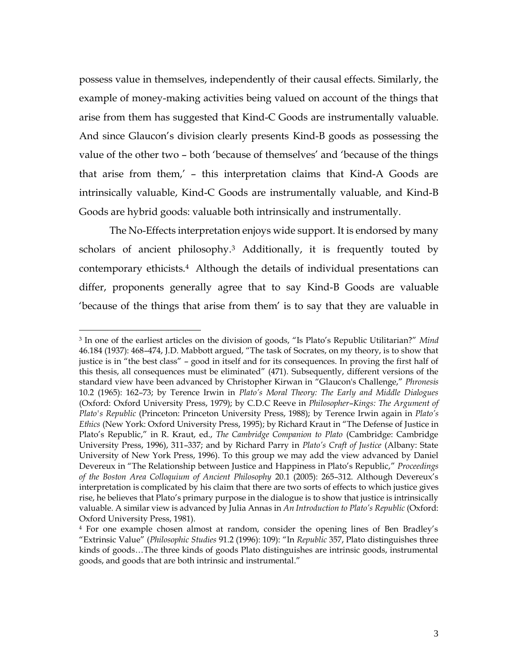possess value in themselves, independently of their causal effects. Similarly, the example of money-making activities being valued on account of the things that arise from them has suggested that Kind-C Goods are instrumentally valuable. And since Glaucon's division clearly presents Kind-B goods as possessing the value of the other two – both 'because of themselves' and 'because of the things that arise from them,' – this interpretation claims that Kind-A Goods are intrinsically valuable, Kind-C Goods are instrumentally valuable, and Kind-B Goods are hybrid goods: valuable both intrinsically and instrumentally.

The No-Effects interpretation enjoys wide support. It is endorsed by many scholars of ancient philosophy. <sup>3</sup> Additionally, it is frequently touted by contemporary ethicists.<sup>4</sup> Although the details of individual presentations can differ, proponents generally agree that to say Kind-B Goods are valuable 'because of the things that arise from them' is to say that they are valuable in

<sup>3</sup> In one of the earliest articles on the division of goods, "Is Plato's Republic Utilitarian?" *Mind*  46.184 (1937): 468–474, J.D. Mabbott argued, "The task of Socrates, on my theory, is to show that justice is in "the best class" – good in itself and for its consequences. In proving the first half of this thesis, all consequences must be eliminated" (471). Subsequently, different versions of the standard view have been advanced by Christopher Kirwan in "Glaucon's Challenge," *Phronesis*  10.2 (1965): 162–73; by Terence Irwin in *Plato's Moral Theory: The Early and Middle Dialogues*  (Oxford: Oxford University Press, 1979); by C.D.C Reeve in *Philosopher*–*Kings: The Argument of Plato's Republic* (Princeton: Princeton University Press, 1988); by Terence Irwin again in *Plato's Ethics* (New York: Oxford University Press, 1995); by Richard Kraut in "The Defense of Justice in Plato's Republic," in R. Kraut, ed., *The Cambridge Companion to Plato* (Cambridge: Cambridge University Press, 1996), 311–337; and by Richard Parry in *Plato's Craft of Justice* (Albany: State University of New York Press, 1996). To this group we may add the view advanced by Daniel Devereux in "The Relationship between Justice and Happiness in Plato's Republic," *Proceedings of the Boston Area Colloquium of Ancient Philosophy* 20.1 (2005): 265–312. Although Devereux's interpretation is complicated by his claim that there are two sorts of effects to which justice gives rise, he believes that Plato's primary purpose in the dialogue is to show that justice is intrinsically valuable. A similar view is advanced by Julia Annas in *An Introduction to Plato's Republic* (Oxford: Oxford University Press, 1981).

<sup>4</sup> For one example chosen almost at random, consider the opening lines of Ben Bradley's "Extrinsic Value" (*Philosophic Studies* 91.2 (1996): 109): "In *Republic* 357, Plato distinguishes three kinds of goods…The three kinds of goods Plato distinguishes are intrinsic goods, instrumental goods, and goods that are both intrinsic and instrumental."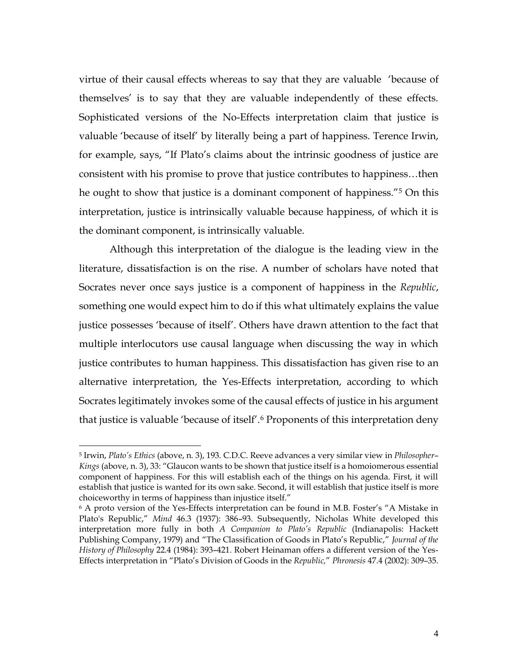virtue of their causal effects whereas to say that they are valuable 'because of themselves' is to say that they are valuable independently of these effects. Sophisticated versions of the No-Effects interpretation claim that justice is valuable 'because of itself' by literally being a part of happiness. Terence Irwin, for example, says, "If Plato's claims about the intrinsic goodness of justice are consistent with his promise to prove that justice contributes to happiness…then he ought to show that justice is a dominant component of happiness."<sup>5</sup> On this interpretation, justice is intrinsically valuable because happiness, of which it is the dominant component, is intrinsically valuable.

Although this interpretation of the dialogue is the leading view in the literature, dissatisfaction is on the rise. A number of scholars have noted that Socrates never once says justice is a component of happiness in the *Republic*, something one would expect him to do if this what ultimately explains the value justice possesses 'because of itself'. Others have drawn attention to the fact that multiple interlocutors use causal language when discussing the way in which justice contributes to human happiness. This dissatisfaction has given rise to an alternative interpretation, the Yes-Effects interpretation, according to which Socrates legitimately invokes some of the causal effects of justice in his argument that justice is valuable 'because of itself'.<sup>6</sup> Proponents of this interpretation deny

<sup>5</sup> Irwin, *Plato's Ethics* (above, n. 3), 193. C.D.C. Reeve advances a very similar view in *Philosopher*– *Kings* (above, n. 3), 33: "Glaucon wants to be shown that justice itself is a homoiomerous essential component of happiness. For this will establish each of the things on his agenda. First, it will establish that justice is wanted for its own sake. Second, it will establish that justice itself is more choiceworthy in terms of happiness than injustice itself."

<sup>6</sup> A proto version of the Yes-Effects interpretation can be found in M.B. Foster's "A Mistake in Plato's Republic," *Mind* 46.3 (1937): 386–93. Subsequently, Nicholas White developed this interpretation more fully in both *A Companion to Plato's Republic* (Indianapolis: Hackett Publishing Company, 1979) and "The Classification of Goods in Plato's Republic," *Journal of the History of Philosophy* 22.4 (1984): 393–421. Robert Heinaman offers a different version of the Yes-Effects interpretation in "Plato's Division of Goods in the *Republic,*" *Phronesis* 47.4 (2002): 309–35.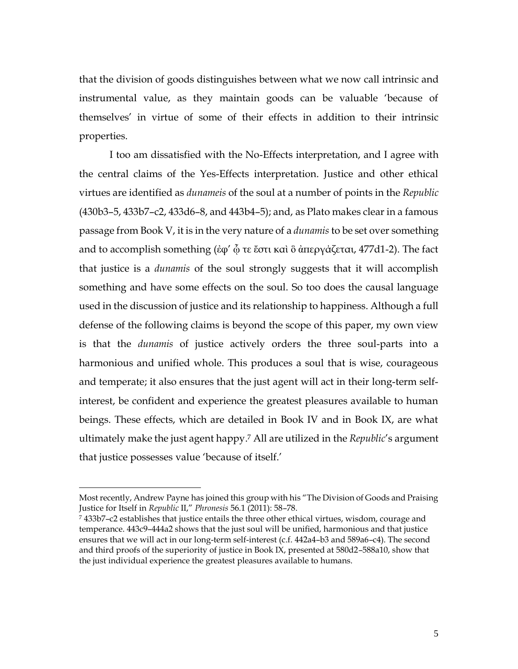that the division of goods distinguishes between what we now call intrinsic and instrumental value, as they maintain goods can be valuable 'because of themselves' in virtue of some of their effects in addition to their intrinsic properties.

I too am dissatisfied with the No-Effects interpretation, and I agree with the central claims of the Yes-Effects interpretation. Justice and other ethical virtues are identified as *dunameis* of the soul at a number of points in the *Republic* (430b3–5, 433b7–c2, 433d6–8, and 443b4–5); and, as Plato makes clear in a famous passage from Book V, it is in the very nature of a *dunamis* to be set over something and to accomplish something (ἐφ' ᾧ τε ἔστι καὶ ὃ ἀπεργάζεται, 477d1-2). The fact that justice is a *dunamis* of the soul strongly suggests that it will accomplish something and have some effects on the soul. So too does the causal language used in the discussion of justice and its relationship to happiness. Although a full defense of the following claims is beyond the scope of this paper, my own view is that the *dunamis* of justice actively orders the three soul-parts into a harmonious and unified whole. This produces a soul that is wise, courageous and temperate; it also ensures that the just agent will act in their long-term selfinterest, be confident and experience the greatest pleasures available to human beings. These effects, which are detailed in Book IV and in Book IX, are what ultimately make the just agent happy. <sup>7</sup> All are utilized in the *Republic*'s argument that justice possesses value 'because of itself.'

Most recently, Andrew Payne has joined this group with his "The Division of Goods and Praising Justice for Itself in *Republic* II," *Phronesis* 56.1 (2011): 58–78.

<sup>7</sup> 433b7–c2 establishes that justice entails the three other ethical virtues, wisdom, courage and temperance. 443c9–444a2 shows that the just soul will be unified, harmonious and that justice ensures that we will act in our long-term self-interest (c.f. 442a4–b3 and 589a6–c4). The second and third proofs of the superiority of justice in Book IX, presented at 580d2–588a10, show that the just individual experience the greatest pleasures available to humans.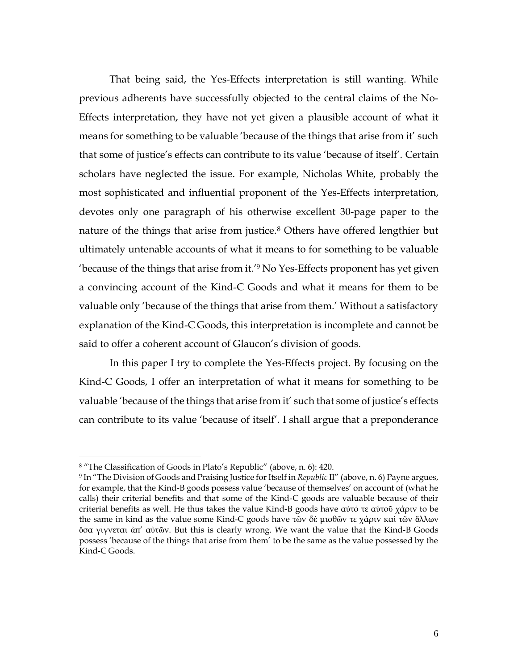That being said, the Yes-Effects interpretation is still wanting. While previous adherents have successfully objected to the central claims of the No-Effects interpretation, they have not yet given a plausible account of what it means for something to be valuable 'because of the things that arise from it' such that some of justice's effects can contribute to its value 'because of itself'. Certain scholars have neglected the issue. For example, Nicholas White, probably the most sophisticated and influential proponent of the Yes-Effects interpretation, devotes only one paragraph of his otherwise excellent 30-page paper to the nature of the things that arise from justice.<sup>8</sup> Others have offered lengthier but ultimately untenable accounts of what it means to for something to be valuable 'because of the things that arise from it.' <sup>9</sup> No Yes-Effects proponent has yet given a convincing account of the Kind-C Goods and what it means for them to be valuable only 'because of the things that arise from them.' Without a satisfactory explanation of the Kind-C Goods, this interpretation is incomplete and cannot be said to offer a coherent account of Glaucon's division of goods.

In this paper I try to complete the Yes-Effects project. By focusing on the Kind-C Goods, I offer an interpretation of what it means for something to be valuable 'because of the things that arise from it' such that some of justice's effects can contribute to its value 'because of itself'. I shall argue that a preponderance

<sup>8</sup> "The Classification of Goods in Plato's Republic" (above, n. 6): 420.

<sup>9</sup> In "The Division of Goods and Praising Justice for Itself in *Republic* II" (above, n. 6) Payne argues, for example, that the Kind-B goods possess value 'because of themselves' on account of (what he calls) their criterial benefits and that some of the Kind-C goods are valuable because of their criterial benefits as well. He thus takes the value Kind-B goods have αὐτό τε αὑτοῦ χάριν to be the same in kind as the value some Kind-C goods have τῶν δὲ μισθῶν τε χάριν καὶ τῶν ἄλλων ὅσα γίγνεται ἀπ' αὐτῶν. But this is clearly wrong. We want the value that the Kind-B Goods possess 'because of the things that arise from them' to be the same as the value possessed by the Kind-C Goods.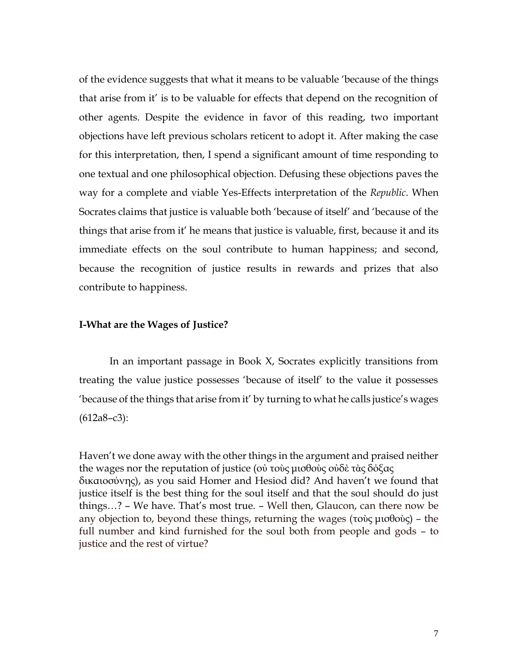of the evidence suggests that what it means to be valuable 'because of the things that arise from it' is to be valuable for effects that depend on the recognition of other agents. Despite the evidence in favor of this reading, two important objections have left previous scholars reticent to adopt it. After making the case for this interpretation, then, I spend a significant amount of time responding to one textual and one philosophical objection. Defusing these objections paves the way for a complete and viable Yes-Effects interpretation of the *Republic*. When Socrates claims that justice is valuable both 'because of itself' and 'because of the things that arise from it' he means that justice is valuable, first, because it and its immediate effects on the soul contribute to human happiness; and second, because the recognition of justice results in rewards and prizes that also contribute to happiness.

## **I-What are the Wages of Justice?**

In an important passage in Book X, Socrates explicitly transitions from treating the value justice possesses 'because of itself' to the value it possesses 'because of the things that arise from it' by turning to what he calls justice's wages (612a8–c3):

Haven't we done away with the other things in the argument and praised neither the wages nor the reputation of justice (οὐ τοὺς μισθοὺς οὐδὲ τὰς δόξας δικαιοσύνης), as you said Homer and Hesiod did? And haven't we found that justice itself is the best thing for the soul itself and that the soul should do just things…? – We have. That's most true. – Well then, Glaucon, can there now be any objection to, beyond these things, returning the wages (τοὺς μισθοὺς) – the full number and kind furnished for the soul both from people and gods – to justice and the rest of virtue?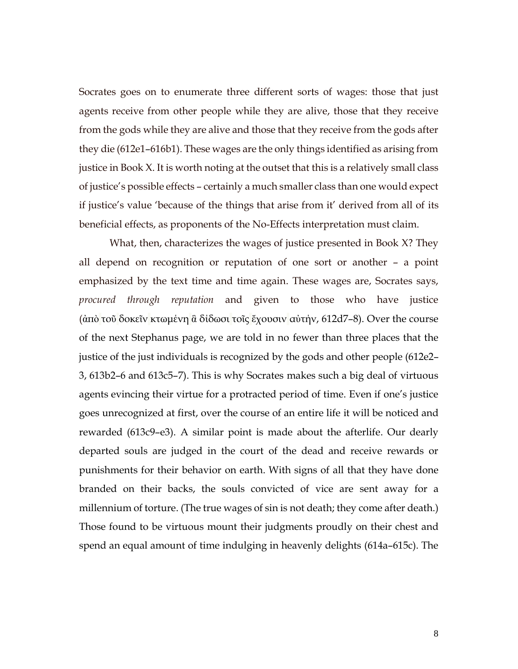Socrates goes on to enumerate three different sorts of wages: those that just agents receive from other people while they are alive, those that they receive from the gods while they are alive and those that they receive from the gods after they die (612e1–616b1). These wages are the only things identified as arising from justice in Book X. It is worth noting at the outset that this is a relatively small class of justice's possible effects – certainly a much smaller class than one would expect if justice's value 'because of the things that arise from it' derived from all of its beneficial effects, as proponents of the No-Effects interpretation must claim.

What, then, characterizes the wages of justice presented in Book X? They all depend on recognition or reputation of one sort or another – a point emphasized by the text time and time again. These wages are, Socrates says, *procured through reputation* and given to those who have justice (ἀπὸ τοῦ δοκεῖν κτωμένη ἃ δίδωσι τοῖς ἔχουσιν αὐτήν, 612d7–8). Over the course of the next Stephanus page, we are told in no fewer than three places that the justice of the just individuals is recognized by the gods and other people (612e2– 3, 613b2–6 and 613c5–7). This is why Socrates makes such a big deal of virtuous agents evincing their virtue for a protracted period of time. Even if one's justice goes unrecognized at first, over the course of an entire life it will be noticed and rewarded (613c9–e3). A similar point is made about the afterlife. Our dearly departed souls are judged in the court of the dead and receive rewards or punishments for their behavior on earth. With signs of all that they have done branded on their backs, the souls convicted of vice are sent away for a millennium of torture. (The true wages of sin is not death; they come after death.) Those found to be virtuous mount their judgments proudly on their chest and spend an equal amount of time indulging in heavenly delights (614a–615c). The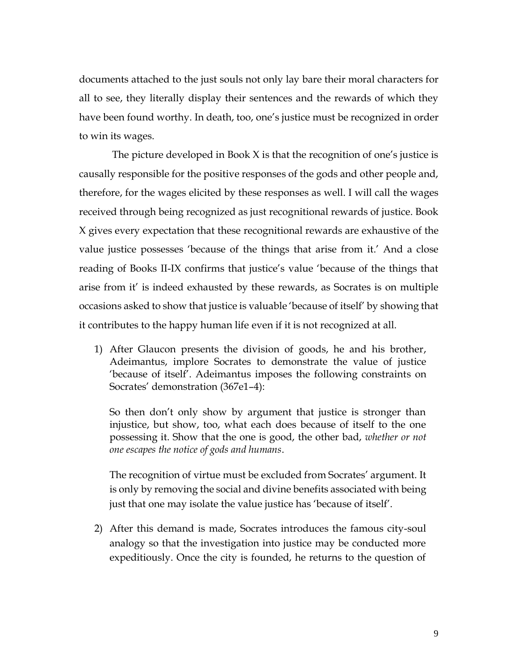documents attached to the just souls not only lay bare their moral characters for all to see, they literally display their sentences and the rewards of which they have been found worthy. In death, too, one's justice must be recognized in order to win its wages.

The picture developed in Book X is that the recognition of one's justice is causally responsible for the positive responses of the gods and other people and, therefore, for the wages elicited by these responses as well. I will call the wages received through being recognized as just recognitional rewards of justice. Book X gives every expectation that these recognitional rewards are exhaustive of the value justice possesses 'because of the things that arise from it.' And a close reading of Books II-IX confirms that justice's value 'because of the things that arise from it' is indeed exhausted by these rewards, as Socrates is on multiple occasions asked to show that justice is valuable 'because of itself' by showing that it contributes to the happy human life even if it is not recognized at all.

1) After Glaucon presents the division of goods, he and his brother, Adeimantus, implore Socrates to demonstrate the value of justice 'because of itself'. Adeimantus imposes the following constraints on Socrates' demonstration (367e1–4):

So then don't only show by argument that justice is stronger than injustice, but show, too, what each does because of itself to the one possessing it. Show that the one is good, the other bad, *whether or not one escapes the notice of gods and humans*.

The recognition of virtue must be excluded from Socrates' argument. It is only by removing the social and divine benefits associated with being just that one may isolate the value justice has 'because of itself'.

2) After this demand is made, Socrates introduces the famous city-soul analogy so that the investigation into justice may be conducted more expeditiously. Once the city is founded, he returns to the question of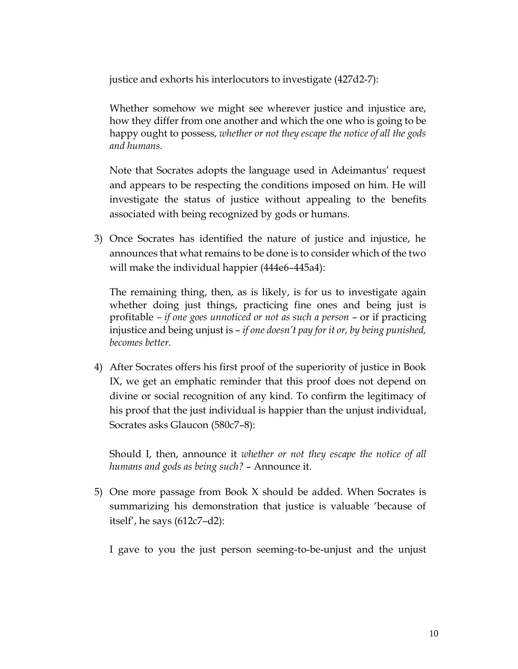justice and exhorts his interlocutors to investigate (427d2-7):

Whether somehow we might see wherever justice and injustice are, how they differ from one another and which the one who is going to be happy ought to possess, *whether or not they escape the notice of all the gods and humans.* 

Note that Socrates adopts the language used in Adeimantus' request and appears to be respecting the conditions imposed on him. He will investigate the status of justice without appealing to the benefits associated with being recognized by gods or humans.

3) Once Socrates has identified the nature of justice and injustice, he announces that what remains to be done is to consider which of the two will make the individual happier (444e6–445a4):

The remaining thing, then, as is likely, is for us to investigate again whether doing just things, practicing fine ones and being just is profitable *– if one goes unnoticed or not as such a person* – or if practicing injustice and being unjust is – *if one doesn't pay for it or, by being punished, becomes better.*

4) After Socrates offers his first proof of the superiority of justice in Book IX, we get an emphatic reminder that this proof does not depend on divine or social recognition of any kind. To confirm the legitimacy of his proof that the just individual is happier than the unjust individual, Socrates asks Glaucon (580c7–8):

Should I, then, announce it *whether or not they escape the notice of all humans and gods as being such?* – Announce it.

- 5) One more passage from Book X should be added. When Socrates is summarizing his demonstration that justice is valuable 'because of itself', he says (612c7–d2):
	- I gave to you the just person seeming-to-be-unjust and the unjust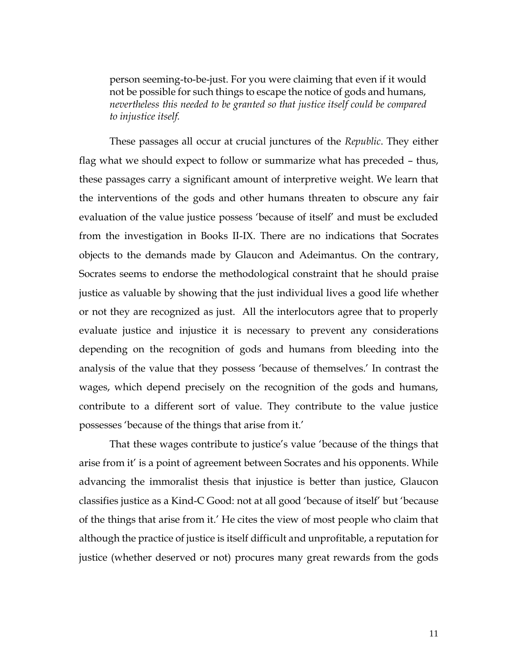person seeming-to-be-just. For you were claiming that even if it would not be possible for such things to escape the notice of gods and humans, *nevertheless this needed to be granted so that justice itself could be compared to injustice itself.*

These passages all occur at crucial junctures of the *Republic*. They either flag what we should expect to follow or summarize what has preceded – thus, these passages carry a significant amount of interpretive weight. We learn that the interventions of the gods and other humans threaten to obscure any fair evaluation of the value justice possess 'because of itself' and must be excluded from the investigation in Books II-IX. There are no indications that Socrates objects to the demands made by Glaucon and Adeimantus. On the contrary, Socrates seems to endorse the methodological constraint that he should praise justice as valuable by showing that the just individual lives a good life whether or not they are recognized as just. All the interlocutors agree that to properly evaluate justice and injustice it is necessary to prevent any considerations depending on the recognition of gods and humans from bleeding into the analysis of the value that they possess 'because of themselves.' In contrast the wages, which depend precisely on the recognition of the gods and humans, contribute to a different sort of value. They contribute to the value justice possesses 'because of the things that arise from it.'

That these wages contribute to justice's value 'because of the things that arise from it' is a point of agreement between Socrates and his opponents. While advancing the immoralist thesis that injustice is better than justice, Glaucon classifies justice as a Kind-C Good: not at all good 'because of itself' but 'because of the things that arise from it.' He cites the view of most people who claim that although the practice of justice is itself difficult and unprofitable, a reputation for justice (whether deserved or not) procures many great rewards from the gods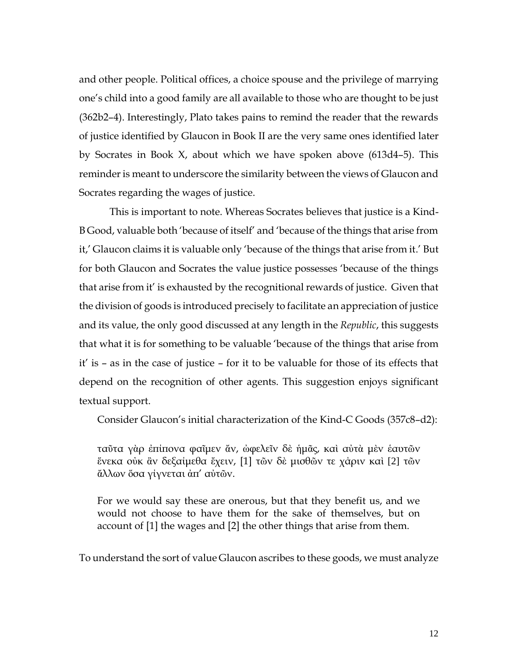and other people. Political offices, a choice spouse and the privilege of marrying one's child into a good family are all available to those who are thought to be just (362b2–4). Interestingly, Plato takes pains to remind the reader that the rewards of justice identified by Glaucon in Book II are the very same ones identified later by Socrates in Book X, about which we have spoken above (613d4–5). This reminder is meant to underscore the similarity between the views of Glaucon and Socrates regarding the wages of justice.

This is important to note. Whereas Socrates believes that justice is a Kind-B Good, valuable both 'because of itself' and 'because of the things that arise from it,' Glaucon claims it is valuable only 'because of the things that arise from it.' But for both Glaucon and Socrates the value justice possesses 'because of the things that arise from it' is exhausted by the recognitional rewards of justice. Given that the division of goods is introduced precisely to facilitate an appreciation of justice and its value, the only good discussed at any length in the *Republic*, this suggests that what it is for something to be valuable 'because of the things that arise from it' is – as in the case of justice – for it to be valuable for those of its effects that depend on the recognition of other agents. This suggestion enjoys significant textual support.

Consider Glaucon's initial characterization of the Kind-C Goods (357c8–d2):

ταῦτα γὰρ ἐπίπονα φαῖμεν ἄν, ὠφελεῖν δὲ ἡμᾶς, καὶ αὐτὰ μὲν ἑαυτῶν ἕνεκα οὐκ ἂν δεξαίμεθα ἔχειν, [1] τῶν δὲ μισθῶν τε χάριν καὶ [2] τῶν ἄλλων ὅσα γίγνεται ἀπ' αὐτῶν.

For we would say these are onerous, but that they benefit us, and we would not choose to have them for the sake of themselves, but on account of [1] the wages and [2] the other things that arise from them.

To understand the sort of value Glaucon ascribes to these goods, we must analyze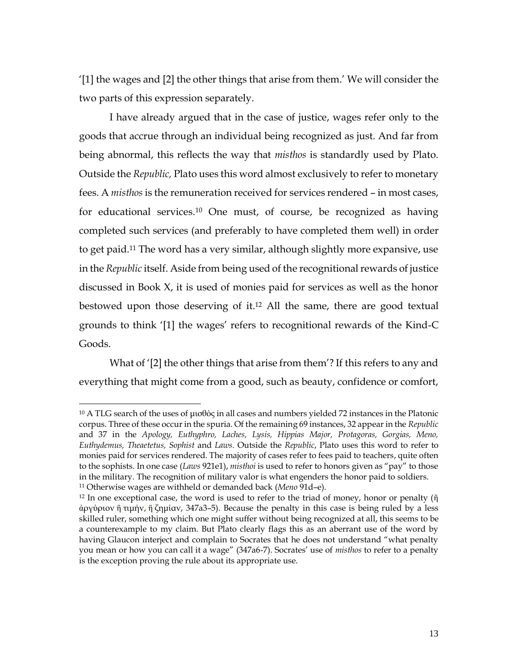'[1] the wages and [2] the other things that arise from them.' We will consider the two parts of this expression separately.

I have already argued that in the case of justice, wages refer only to the goods that accrue through an individual being recognized as just. And far from being abnormal, this reflects the way that *misthos* is standardly used by Plato. Outside the *Republic,* Plato uses this word almost exclusively to refer to monetary fees. A *misthos* is the remuneration received for services rendered – in most cases, for educational services. <sup>10</sup> One must, of course, be recognized as having completed such services (and preferably to have completed them well) in order to get paid. <sup>11</sup> The word has a very similar, although slightly more expansive, use in the *Republic* itself. Aside from being used of the recognitional rewards of justice discussed in Book X, it is used of monies paid for services as well as the honor bestowed upon those deserving of it.<sup>12</sup> All the same, there are good textual grounds to think '[1] the wages' refers to recognitional rewards of the Kind-C Goods.

What of '[2] the other things that arise from them'? If this refers to any and everything that might come from a good, such as beauty, confidence or comfort,

<sup>&</sup>lt;sup>10</sup> A TLG search of the uses of μισθός in all cases and numbers yielded 72 instances in the Platonic corpus. Three of these occur in the spuria. Of the remaining 69 instances, 32 appear in the *Republic* and 37 in the *Apology, Euthyphro, Laches, Lysis, Hippias Major, Protagoras, Gorgias, Meno, Euthydemus, Theaetetus, Sophist* and *Laws.* Outside the *Republic*, Plato uses this word to refer to monies paid for services rendered. The majority of cases refer to fees paid to teachers, quite often to the sophists. In one case (*Laws* 921e1), *misthoi* is used to refer to honors given as "pay" to those in the military. The recognition of military valor is what engenders the honor paid to soldiers. <sup>11</sup> Otherwise wages are withheld or demanded back (*Meno* 91d–e).

 $12$  In one exceptional case, the word is used to refer to the triad of money, honor or penalty ( $\hat{\eta}$ ) ἀργύριον ἢ τιμήν, ἢ ζημίαν, 347a3–5). Because the penalty in this case is being ruled by a less skilled ruler, something which one might suffer without being recognized at all, this seems to be a counterexample to my claim. But Plato clearly flags this as an aberrant use of the word by having Glaucon interject and complain to Socrates that he does not understand "what penalty you mean or how you can call it a wage" (347a6-7). Socrates' use of *misthos* to refer to a penalty is the exception proving the rule about its appropriate use.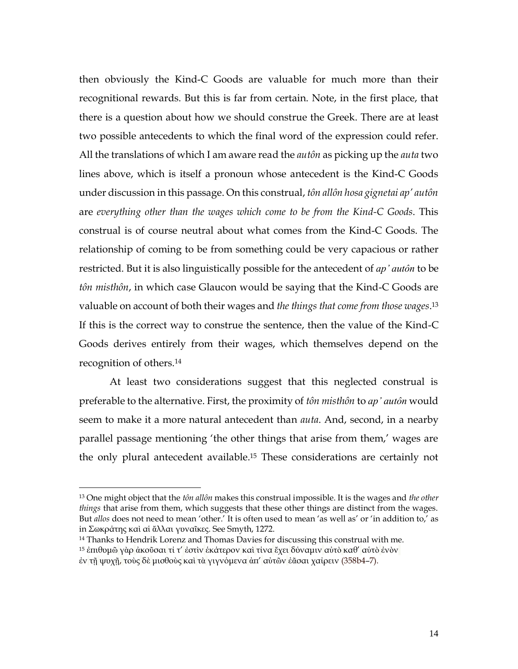then obviously the Kind-C Goods are valuable for much more than their recognitional rewards. But this is far from certain. Note, in the first place, that there is a question about how we should construe the Greek. There are at least two possible antecedents to which the final word of the expression could refer. All the translations of which I am aware read the *autôn* as picking up the *auta* two lines above, which is itself a pronoun whose antecedent is the Kind-C Goods under discussion in this passage. On this construal, *tôn allôn hosa gignetai ap' autôn*  are *everything other than the wages which come to be from the Kind-C Goods*. This construal is of course neutral about what comes from the Kind-C Goods. The relationship of coming to be from something could be very capacious or rather restricted. But it is also linguistically possible for the antecedent of *ap' autôn* to be *tôn misthôn*, in which case Glaucon would be saying that the Kind-C Goods are valuable on account of both their wages and *the things that come from those wages*. 13 If this is the correct way to construe the sentence, then the value of the Kind-C Goods derives entirely from their wages, which themselves depend on the recognition of others.<sup>14</sup>

At least two considerations suggest that this neglected construal is preferable to the alternative. First, the proximity of *tôn misthôn* to *ap' autôn* would seem to make it a more natural antecedent than *auta*. And, second, in a nearby parallel passage mentioning 'the other things that arise from them,' wages are the only plural antecedent available.<sup>15</sup> These considerations are certainly not

<sup>13</sup> One might object that the *tôn allôn* makes this construal impossible. It is the wages and *the other things* that arise from them, which suggests that these other things are distinct from the wages. But *allos* does not need to mean 'other.' It is often used to mean 'as well as' or 'in addition to,' as in Σωκράτης καὶ αἱ ἄλλαι γυναῖκες. See Smyth, 1272.

<sup>&</sup>lt;sup>14</sup> Thanks to Hendrik Lorenz and Thomas Davies for discussing this construal with me.

<sup>15</sup> ἐπιθυμῶ γὰρ ἀκοῦσαι τί τ' ἐστὶν ἑκάτερον καὶ τίνα ἔχει δύναμιν αὐτὸ καθ' αὑτὸ ἐνὸν ἐν τῇ ψυχῇ, τοὺς δὲ μισθοὺς καὶ τὰ γιγνόμενα ἀπ' αὐτῶν ἐᾶσαι χαίρειν (358b4–7).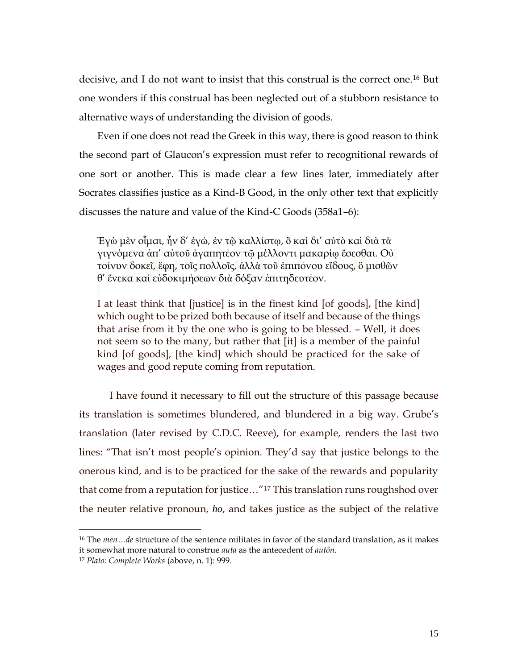decisive, and I do not want to insist that this construal is the correct one.<sup>16</sup> But one wonders if this construal has been neglected out of a stubborn resistance to alternative ways of understanding the division of goods.

Even if one does not read the Greek in this way, there is good reason to think the second part of Glaucon's expression must refer to recognitional rewards of one sort or another. This is made clear a few lines later, immediately after Socrates classifies justice as a Kind-B Good, in the only other text that explicitly discusses the nature and value of the Kind-C Goods (358a1–6):

Ἐγὼ μὲν οἶμαι, ἦν δ' ἐγώ, ἐν τῷ καλλίστῳ, ὃ καὶ δι' αὑτὸ καὶ διὰ τὰ γιγνόμενα ἀπ' αὐτοῦ ἀγαπητέον τῷ μέλλοντι μακαρίῳ ἔσεσθαι. Οὐ τοίνυν δοκεῖ, ἔφη, τοῖς πολλοῖς, ἀλλὰ τοῦ ἐπιπόνου εἴδους, ὃ μισθῶν θ' ἕνεκα καὶ εὐδοκιμήσεων διὰ δόξαν ἐπιτηδευτέον.

I at least think that [justice] is in the finest kind [of goods], [the kind] which ought to be prized both because of itself and because of the things that arise from it by the one who is going to be blessed. – Well, it does not seem so to the many, but rather that [it] is a member of the painful kind [of goods], [the kind] which should be practiced for the sake of wages and good repute coming from reputation.

I have found it necessary to fill out the structure of this passage because its translation is sometimes blundered, and blundered in a big way. Grube's translation (later revised by C.D.C. Reeve), for example, renders the last two lines: "That isn't most people's opinion. They'd say that justice belongs to the onerous kind, and is to be practiced for the sake of the rewards and popularity that come from a reputation for justice…"<sup>17</sup> This translation runs roughshod over the neuter relative pronoun, *ho*, and takes justice as the subject of the relative

<sup>16</sup> The *men…de* structure of the sentence militates in favor of the standard translation, as it makes it somewhat more natural to construe *auta* as the antecedent of *autôn*.

<sup>17</sup> *Plato: Complete Works* (above, n. 1): 999.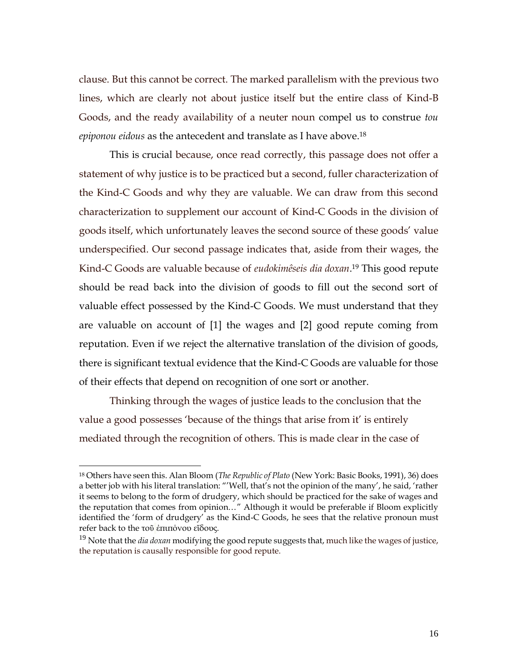clause. But this cannot be correct. The marked parallelism with the previous two lines, which are clearly not about justice itself but the entire class of Kind-B Goods, and the ready availability of a neuter noun compel us to construe *tou epiponou eidous* as the antecedent and translate as I have above.<sup>18</sup>

This is crucial because, once read correctly, this passage does not offer a statement of why justice is to be practiced but a second, fuller characterization of the Kind-C Goods and why they are valuable. We can draw from this second characterization to supplement our account of Kind-C Goods in the division of goods itself, which unfortunately leaves the second source of these goods' value underspecified. Our second passage indicates that, aside from their wages, the Kind-C Goods are valuable because of *eudokimêseis dia doxan*. <sup>19</sup> This good repute should be read back into the division of goods to fill out the second sort of valuable effect possessed by the Kind-C Goods. We must understand that they are valuable on account of [1] the wages and [2] good repute coming from reputation. Even if we reject the alternative translation of the division of goods, there is significant textual evidence that the Kind-C Goods are valuable for those of their effects that depend on recognition of one sort or another.

Thinking through the wages of justice leads to the conclusion that the value a good possesses 'because of the things that arise from it' is entirely mediated through the recognition of others. This is made clear in the case of

<sup>18</sup> Others have seen this. Alan Bloom (*The Republic of Plato* (New York: Basic Books, 1991), 36) does a better job with his literal translation: "'Well, that's not the opinion of the many', he said, 'rather it seems to belong to the form of drudgery, which should be practiced for the sake of wages and the reputation that comes from opinion…" Although it would be preferable if Bloom explicitly identified the 'form of drudgery' as the Kind-C Goods, he sees that the relative pronoun must refer back to the τοῦ ἐπιπόνου εἴδους.

<sup>19</sup> Note that the *dia doxan* modifying the good repute suggests that, much like the wages of justice, the reputation is causally responsible for good repute.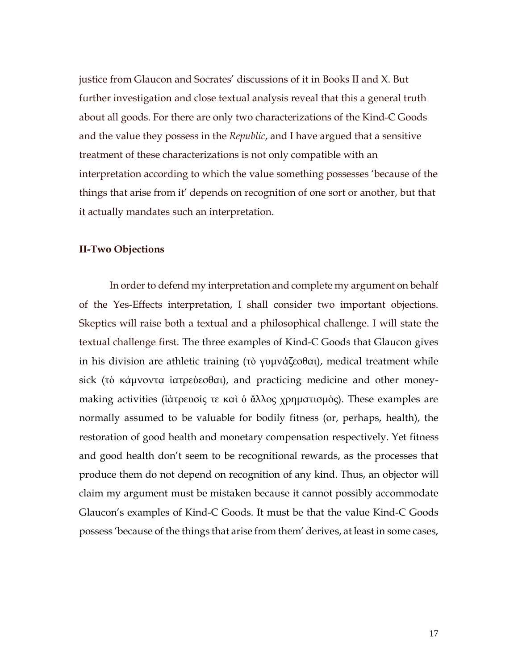justice from Glaucon and Socrates' discussions of it in Books II and X. But further investigation and close textual analysis reveal that this a general truth about all goods. For there are only two characterizations of the Kind-C Goods and the value they possess in the *Republic*, and I have argued that a sensitive treatment of these characterizations is not only compatible with an interpretation according to which the value something possesses 'because of the things that arise from it' depends on recognition of one sort or another, but that it actually mandates such an interpretation.

## **II-Two Objections**

In order to defend my interpretation and complete my argument on behalf of the Yes-Effects interpretation, I shall consider two important objections. Skeptics will raise both a textual and a philosophical challenge. I will state the textual challenge first. The three examples of Kind-C Goods that Glaucon gives in his division are athletic training (τὸ γυμνάζεσθαι), medical treatment while sick (τὸ κάμνοντα ἰατρεύεσθαι), and practicing medicine and other moneymaking activities (ἰάτρευσίς τε καὶ ὁ ἄλλος χρηματισμός). These examples are normally assumed to be valuable for bodily fitness (or, perhaps, health), the restoration of good health and monetary compensation respectively. Yet fitness and good health don't seem to be recognitional rewards, as the processes that produce them do not depend on recognition of any kind. Thus, an objector will claim my argument must be mistaken because it cannot possibly accommodate Glaucon's examples of Kind-C Goods. It must be that the value Kind-C Goods possess 'because of the things that arise from them' derives, at least in some cases,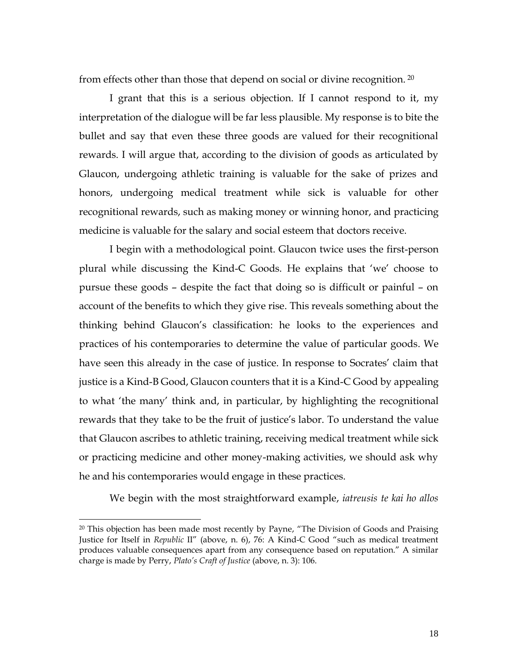from effects other than those that depend on social or divine recognition. <sup>20</sup>

I grant that this is a serious objection. If I cannot respond to it, my interpretation of the dialogue will be far less plausible. My response is to bite the bullet and say that even these three goods are valued for their recognitional rewards. I will argue that, according to the division of goods as articulated by Glaucon, undergoing athletic training is valuable for the sake of prizes and honors, undergoing medical treatment while sick is valuable for other recognitional rewards, such as making money or winning honor, and practicing medicine is valuable for the salary and social esteem that doctors receive.

I begin with a methodological point. Glaucon twice uses the first-person plural while discussing the Kind-C Goods. He explains that 'we' choose to pursue these goods – despite the fact that doing so is difficult or painful – on account of the benefits to which they give rise. This reveals something about the thinking behind Glaucon's classification: he looks to the experiences and practices of his contemporaries to determine the value of particular goods. We have seen this already in the case of justice. In response to Socrates' claim that justice is a Kind-B Good, Glaucon counters that it is a Kind-C Good by appealing to what 'the many' think and, in particular, by highlighting the recognitional rewards that they take to be the fruit of justice's labor. To understand the value that Glaucon ascribes to athletic training, receiving medical treatment while sick or practicing medicine and other money-making activities, we should ask why he and his contemporaries would engage in these practices.

We begin with the most straightforward example, *iatreusis te kai ho allos* 

<sup>20</sup> This objection has been made most recently by Payne, "The Division of Goods and Praising Justice for Itself in *Republic* II" (above, n. 6), 76: A Kind-C Good "such as medical treatment produces valuable consequences apart from any consequence based on reputation." A similar charge is made by Perry, *Plato's Craft of Justice* (above, n. 3): 106.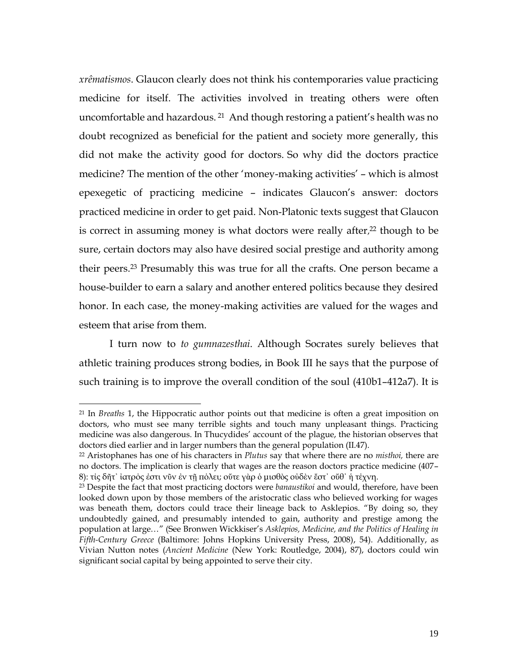*xrêmatismos*. Glaucon clearly does not think his contemporaries value practicing medicine for itself. The activities involved in treating others were often uncomfortable and hazardous. <sup>21</sup> And though restoring a patient's health was no doubt recognized as beneficial for the patient and society more generally, this did not make the activity good for doctors. So why did the doctors practice medicine? The mention of the other 'money-making activities' – which is almost epexegetic of practicing medicine – indicates Glaucon's answer: doctors practiced medicine in order to get paid. Non-Platonic texts suggest that Glaucon is correct in assuming money is what doctors were really after, <sup>22</sup> though to be sure, certain doctors may also have desired social prestige and authority among their peers. <sup>23</sup> Presumably this was true for all the crafts. One person became a house-builder to earn a salary and another entered politics because they desired honor. In each case, the money-making activities are valued for the wages and esteem that arise from them.

I turn now to *to gumnazesthai*. Although Socrates surely believes that athletic training produces strong bodies, in Book III he says that the purpose of such training is to improve the overall condition of the soul (410b1–412a7). It is

<sup>21</sup> In *Breaths* 1, the Hippocratic author points out that medicine is often a great imposition on doctors, who must see many terrible sights and touch many unpleasant things. Practicing medicine was also dangerous. In Thucydides' account of the plague, the historian observes that doctors died earlier and in larger numbers than the general population (II.47).

<sup>22</sup> Aristophanes has one of his characters in *Plutus* say that where there are no *misthoi,* there are no doctors. The implication is clearly that wages are the reason doctors practice medicine (407– 8): τίς δῆτ᾽ ἰ[ατρός](http://www.perseus.tufts.edu/hopper/morph?l=i%29atro%2Fs&la=greek&can=i%29atro%2Fs0&prior=dh%3Dt%27) ἐστι [ν](http://www.perseus.tufts.edu/hopper/morph?l=nu%3Dn&la=greek&can=nu%3Dn1&prior=e)sti)ῦν ἐ[ν](http://www.perseus.tufts.edu/hopper/morph?l=e%29n&la=greek&can=e%29n1&prior=nu%3Dn) [τ](http://www.perseus.tufts.edu/hopper/morph?l=th%3D%7C&la=greek&can=th%3D%7C0&prior=e)n)ῇ [πόλει;](http://www.perseus.tufts.edu/hopper/morph?l=po%2Flei&la=greek&can=po%2Flei0&prior=th%3D%7C) οὔτε γὰρ ὁ [μισθ](http://www.perseus.tufts.edu/hopper/morph?l=misqo%5Cs&la=greek&can=misqo%5Cs0&prior=o()ὸς οὐδὲν ἔστ᾽ οὔθ᾽ ἡ [τέχνη](http://www.perseus.tufts.edu/hopper/morph?l=te%2Fxnh&la=greek&can=te%2Fxnh0&prior=h().

<sup>23</sup> Despite the fact that most practicing doctors were *banaustikoi* and would, therefore, have been looked down upon by those members of the aristocratic class who believed working for wages was beneath them, doctors could trace their lineage back to Asklepios. "By doing so, they undoubtedly gained, and presumably intended to gain, authority and prestige among the population at large…" (See Bronwen Wickkiser's *Asklepios, Medicine, and the Politics of Healing in Fifth-Century Greece* (Baltimore: Johns Hopkins University Press, 2008), 54). Additionally, as Vivian Nutton notes (*Ancient Medicine* (New York: Routledge, 2004), 87), doctors could win significant social capital by being appointed to serve their city.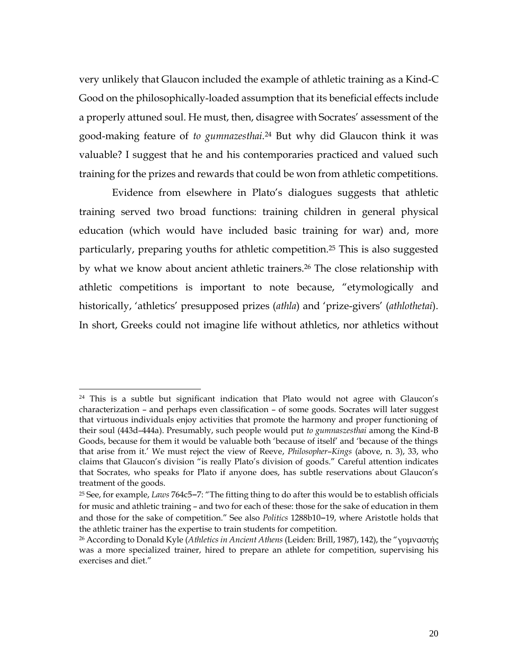very unlikely that Glaucon included the example of athletic training as a Kind-C Good on the philosophically-loaded assumption that its beneficial effects include a properly attuned soul. He must, then, disagree with Socrates' assessment of the good-making feature of *to gumnazesthai*. <sup>24</sup> But why did Glaucon think it was valuable? I suggest that he and his contemporaries practiced and valued such training for the prizes and rewards that could be won from athletic competitions.

Evidence from elsewhere in Plato's dialogues suggests that athletic training served two broad functions: training children in general physical education (which would have included basic training for war) and, more particularly, preparing youths for athletic competition.<sup>25</sup> This is also suggested by what we know about ancient athletic trainers.<sup>26</sup> The close relationship with athletic competitions is important to note because, "etymologically and historically, 'athletics' presupposed prizes (*athla*) and 'prize-givers' (*athlothetai*). In short, Greeks could not imagine life without athletics, nor athletics without

 $24$  This is a subtle but significant indication that Plato would not agree with Glaucon's characterization – and perhaps even classification – of some goods. Socrates will later suggest that virtuous individuals enjoy activities that promote the harmony and proper functioning of their soul (443d–444a). Presumably, such people would put *to gumnaszesthai* among the Kind-B Goods, because for them it would be valuable both 'because of itself' and 'because of the things that arise from it.' We must reject the view of Reeve, *Philosopher*–*Kings* (above, n. 3), 33, who claims that Glaucon's division "is really Plato's division of goods." Careful attention indicates that Socrates, who speaks for Plato if anyone does, has subtle reservations about Glaucon's treatment of the goods.

<sup>25</sup> See, for example, *Laws* 764c5–7: "The fitting thing to do after this would be to establish officials for music and athletic training – and two for each of these: those for the sake of education in them and those for the sake of competition." See also *Politics* 1288b10–19, where Aristotle holds that the athletic trainer has the expertise to train students for competition.

<sup>26</sup> According to Donald Kyle (*Athletics in Ancient Athens* (Leiden: Brill, 1987), 142), the "γυμναστής was a more specialized trainer, hired to prepare an athlete for competition, supervising his exercises and diet"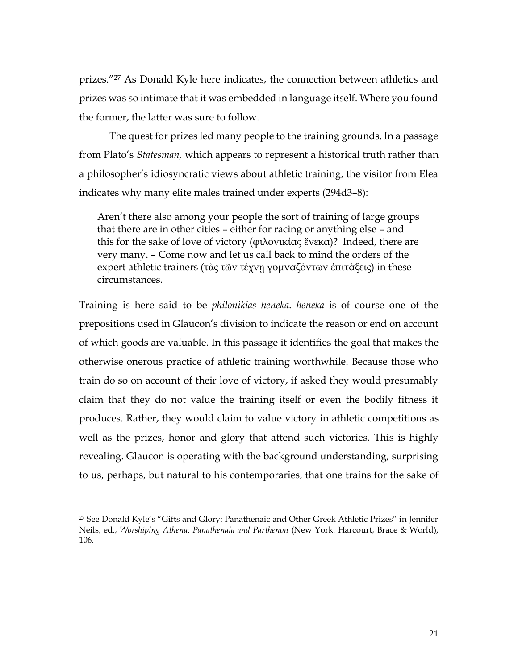prizes."<sup>27</sup> As Donald Kyle here indicates, the connection between athletics and prizes was so intimate that it was embedded in language itself. Where you found the former, the latter was sure to follow.

The quest for prizes led many people to the training grounds. In a passage from Plato's *Statesman,* which appears to represent a historical truth rather than a philosopher's idiosyncratic views about athletic training, the visitor from Elea indicates why many elite males trained under experts (294d3–8):

Aren't there also among your people the sort of training of large groups that there are in other cities – either for racing or anything else – and this for the sake of love of victory (φιλονικίας ἕνεκα)? Indeed, there are very many. – Come now and let us call back to mind the orders of the expert athletic trainers (τὰς τῶν τέχνῃ γυμναζόντων ἐπιτάξεις) in these circumstances.

Training is here said to be *philonikias heneka*. *heneka* is of course one of the prepositions used in Glaucon's division to indicate the reason or end on account of which goods are valuable. In this passage it identifies the goal that makes the otherwise onerous practice of athletic training worthwhile. Because those who train do so on account of their love of victory, if asked they would presumably claim that they do not value the training itself or even the bodily fitness it produces. Rather, they would claim to value victory in athletic competitions as well as the prizes, honor and glory that attend such victories. This is highly revealing. Glaucon is operating with the background understanding, surprising to us, perhaps, but natural to his contemporaries, that one trains for the sake of

<sup>27</sup> See Donald Kyle's "Gifts and Glory: Panathenaic and Other Greek Athletic Prizes" in Jennifer Neils, ed., *Worshiping Athena: Panathenaia and Parthenon* (New York: Harcourt, Brace & World), 106.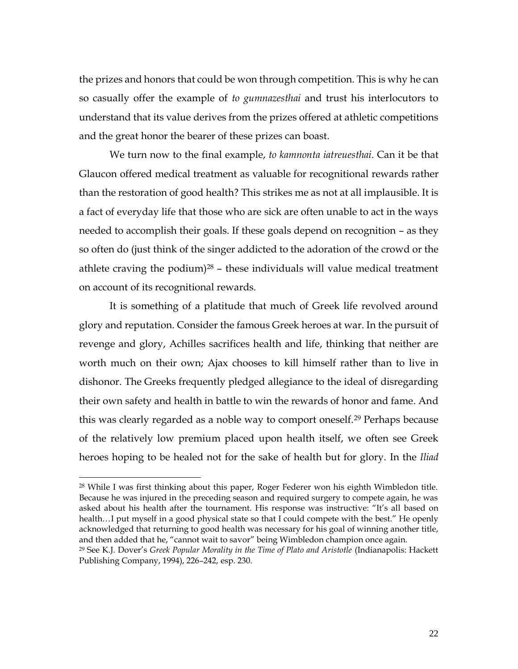the prizes and honors that could be won through competition. This is why he can so casually offer the example of *to gumnazesthai* and trust his interlocutors to understand that its value derives from the prizes offered at athletic competitions and the great honor the bearer of these prizes can boast.

We turn now to the final example, *to kamnonta iatreuesthai*. Can it be that Glaucon offered medical treatment as valuable for recognitional rewards rather than the restoration of good health? This strikes me as not at all implausible. It is a fact of everyday life that those who are sick are often unable to act in the ways needed to accomplish their goals. If these goals depend on recognition – as they so often do (just think of the singer addicted to the adoration of the crowd or the athlete craving the podium) <sup>28</sup> – these individuals will value medical treatment on account of its recognitional rewards.

It is something of a platitude that much of Greek life revolved around glory and reputation. Consider the famous Greek heroes at war. In the pursuit of revenge and glory, Achilles sacrifices health and life, thinking that neither are worth much on their own; Ajax chooses to kill himself rather than to live in dishonor. The Greeks frequently pledged allegiance to the ideal of disregarding their own safety and health in battle to win the rewards of honor and fame. And this was clearly regarded as a noble way to comport oneself.<sup>29</sup> Perhaps because of the relatively low premium placed upon health itself, we often see Greek heroes hoping to be healed not for the sake of health but for glory. In the *Iliad*

<sup>28</sup> While I was first thinking about this paper, Roger Federer won his eighth Wimbledon title. Because he was injured in the preceding season and required surgery to compete again, he was asked about his health after the tournament. His response was instructive: "It's all based on health…I put myself in a good physical state so that I could compete with the best." He openly acknowledged that returning to good health was necessary for his goal of winning another title, and then added that he, "cannot wait to savor" being Wimbledon champion once again.

<sup>29</sup> See K.J. Dover's *Greek Popular Morality in the Time of Plato and Aristotle* (Indianapolis: Hackett Publishing Company, 1994), 226–242, esp. 230.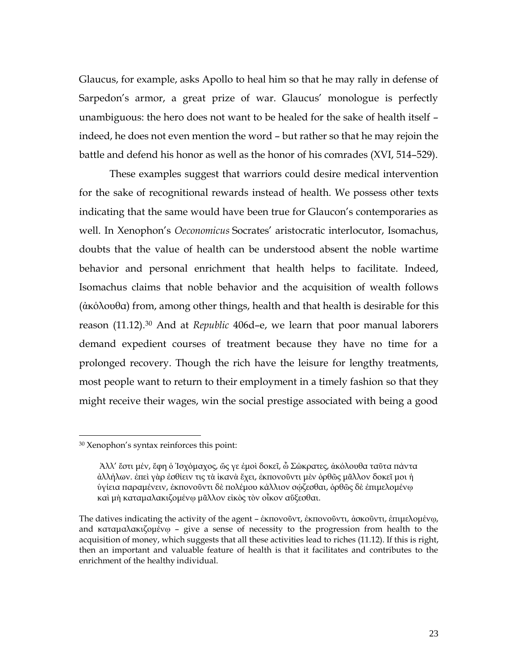Glaucus, for example, asks Apollo to heal him so that he may rally in defense of Sarpedon's armor, a great prize of war. Glaucus' monologue is perfectly unambiguous: the hero does not want to be healed for the sake of health itself – indeed, he does not even mention the word – but rather so that he may rejoin the battle and defend his honor as well as the honor of his comrades (XVI, 514–529).

These examples suggest that warriors could desire medical intervention for the sake of recognitional rewards instead of health. We possess other texts indicating that the same would have been true for Glaucon's contemporaries as well. In Xenophon's *Oeconomicus* Socrates' aristocratic interlocutor, Isomachus, doubts that the value of health can be understood absent the noble wartime behavior and personal enrichment that health helps to facilitate. Indeed, Isomachus claims that noble behavior and the acquisition of wealth follows (ἀκόλουθα) from, among other things, health and that health is desirable for this reason (11.12).<sup>30</sup> And at *Republic* 406d–e, we learn that poor manual laborers demand expedient courses of treatment because they have no time for a prolonged recovery. Though the rich have the leisure for lengthy treatments, most people want to return to their employment in a timely fashion so that they might receive their wages, win the social prestige associated with being a good

<sup>30</sup> Xenophon's syntax reinforces this point:

Ἀλλ' ἔστι μέν, ἔφη ὁ Ἰσχόμαχος, ὥς γε ἐμοὶ δοκεῖ, ὦ Σώκρατες, ἀκόλουθα ταῦτα πάντα ἀλλήλων. ἐπεὶ γὰρ ἐσθίειν τις τὰ ἱκανὰ ἔχει, ἐκπονοῦντι μὲν ὀρθῶς μᾶλλον δοκεῖ μοι ἡ ὑγίεια παραμένειν, ἐκπονοῦντι δὲ πολέμου κάλλιον σῴζεσθαι, ὀρθῶς δὲ ἐπιμελομένῳ καὶ μὴ καταμαλακιζομένῳ μᾶλλον εἰκὸς τὸν οἶκον αὔξεσθαι.

The datives indicating the activity of the agent – ἐκπονοῦντ, ἐκπονοῦντι, ἀσκοῦντι, ἐπιμελομένῳ, and καταμαλακιζομένῳ – give a sense of necessity to the progression from health to the acquisition of money, which suggests that all these activities lead to riches (11.12). If this is right, then an important and valuable feature of health is that it facilitates and contributes to the enrichment of the healthy individual.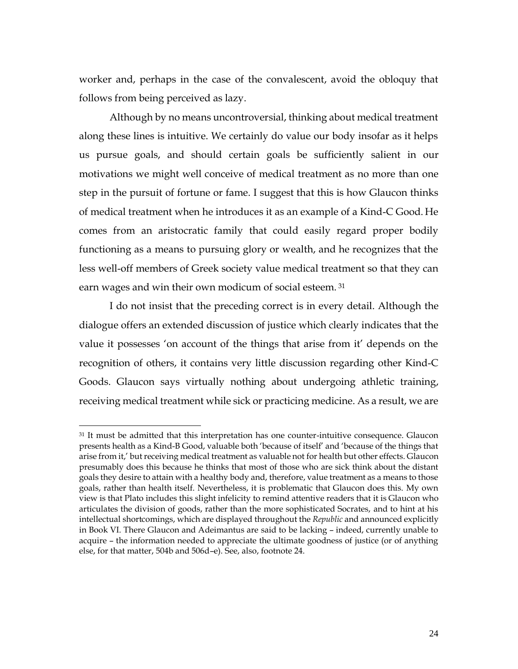worker and, perhaps in the case of the convalescent, avoid the obloquy that follows from being perceived as lazy.

Although by no means uncontroversial, thinking about medical treatment along these lines is intuitive. We certainly do value our body insofar as it helps us pursue goals, and should certain goals be sufficiently salient in our motivations we might well conceive of medical treatment as no more than one step in the pursuit of fortune or fame. I suggest that this is how Glaucon thinks of medical treatment when he introduces it as an example of a Kind-C Good. He comes from an aristocratic family that could easily regard proper bodily functioning as a means to pursuing glory or wealth, and he recognizes that the less well-off members of Greek society value medical treatment so that they can earn wages and win their own modicum of social esteem.<sup>31</sup>

I do not insist that the preceding correct is in every detail. Although the dialogue offers an extended discussion of justice which clearly indicates that the value it possesses 'on account of the things that arise from it' depends on the recognition of others, it contains very little discussion regarding other Kind-C Goods. Glaucon says virtually nothing about undergoing athletic training, receiving medical treatment while sick or practicing medicine. As a result, we are

<sup>&</sup>lt;sup>31</sup> It must be admitted that this interpretation has one counter-intuitive consequence. Glaucon presents health as a Kind-B Good, valuable both 'because of itself' and 'because of the things that arise from it,' but receiving medical treatment as valuable not for health but other effects. Glaucon presumably does this because he thinks that most of those who are sick think about the distant goals they desire to attain with a healthy body and, therefore, value treatment as a means to those goals, rather than health itself. Nevertheless, it is problematic that Glaucon does this. My own view is that Plato includes this slight infelicity to remind attentive readers that it is Glaucon who articulates the division of goods, rather than the more sophisticated Socrates, and to hint at his intellectual shortcomings, which are displayed throughout the *Republic* and announced explicitly in Book VI. There Glaucon and Adeimantus are said to be lacking – indeed, currently unable to acquire – the information needed to appreciate the ultimate goodness of justice (or of anything else, for that matter, 504b and 506d–e). See, also, footnote 24.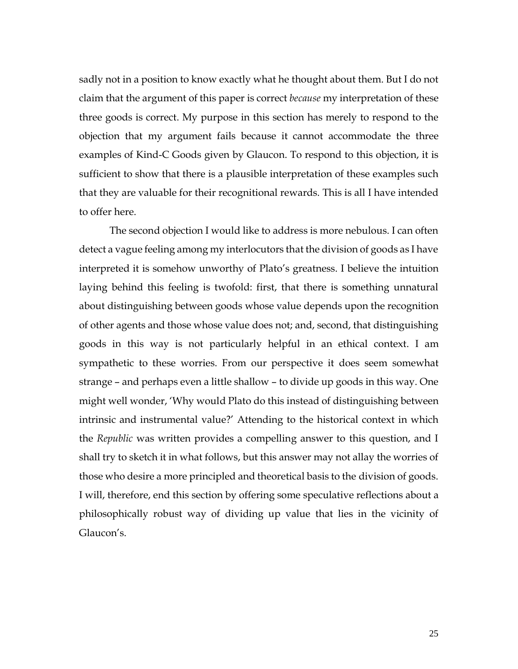sadly not in a position to know exactly what he thought about them. But I do not claim that the argument of this paper is correct *because* my interpretation of these three goods is correct. My purpose in this section has merely to respond to the objection that my argument fails because it cannot accommodate the three examples of Kind-C Goods given by Glaucon. To respond to this objection, it is sufficient to show that there is a plausible interpretation of these examples such that they are valuable for their recognitional rewards. This is all I have intended to offer here.

The second objection I would like to address is more nebulous. I can often detect a vague feeling among my interlocutors that the division of goods as I have interpreted it is somehow unworthy of Plato's greatness. I believe the intuition laying behind this feeling is twofold: first, that there is something unnatural about distinguishing between goods whose value depends upon the recognition of other agents and those whose value does not; and, second, that distinguishing goods in this way is not particularly helpful in an ethical context. I am sympathetic to these worries. From our perspective it does seem somewhat strange – and perhaps even a little shallow – to divide up goods in this way. One might well wonder, 'Why would Plato do this instead of distinguishing between intrinsic and instrumental value?' Attending to the historical context in which the *Republic* was written provides a compelling answer to this question, and I shall try to sketch it in what follows, but this answer may not allay the worries of those who desire a more principled and theoretical basis to the division of goods. I will, therefore, end this section by offering some speculative reflections about a philosophically robust way of dividing up value that lies in the vicinity of Glaucon's.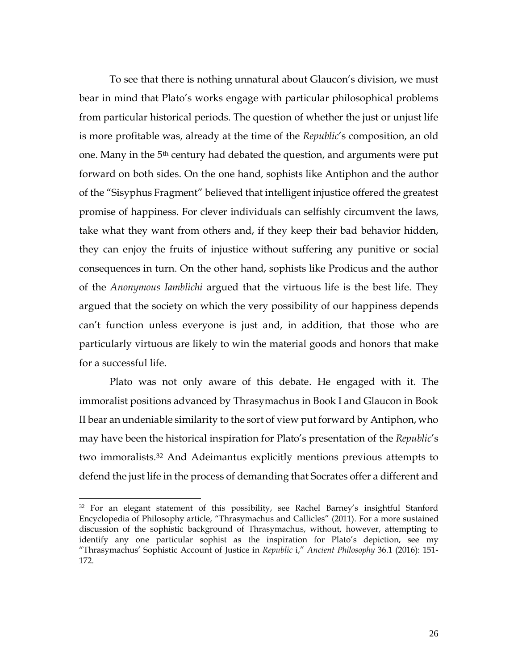To see that there is nothing unnatural about Glaucon's division, we must bear in mind that Plato's works engage with particular philosophical problems from particular historical periods. The question of whether the just or unjust life is more profitable was, already at the time of the *Republic*'s composition, an old one. Many in the 5th century had debated the question, and arguments were put forward on both sides. On the one hand, sophists like Antiphon and the author of the "Sisyphus Fragment" believed that intelligent injustice offered the greatest promise of happiness. For clever individuals can selfishly circumvent the laws, take what they want from others and, if they keep their bad behavior hidden, they can enjoy the fruits of injustice without suffering any punitive or social consequences in turn. On the other hand, sophists like Prodicus and the author of the *Anonymous Iamblichi* argued that the virtuous life is the best life. They argued that the society on which the very possibility of our happiness depends can't function unless everyone is just and, in addition, that those who are particularly virtuous are likely to win the material goods and honors that make for a successful life.

Plato was not only aware of this debate. He engaged with it. The immoralist positions advanced by Thrasymachus in Book I and Glaucon in Book II bear an undeniable similarity to the sort of view put forward by Antiphon, who may have been the historical inspiration for Plato's presentation of the *Republic*'s two immoralists. <sup>32</sup> And Adeimantus explicitly mentions previous attempts to defend the just life in the process of demanding that Socrates offer a different and

<sup>&</sup>lt;sup>32</sup> For an elegant statement of this possibility, see Rachel Barney's insightful Stanford Encyclopedia of Philosophy article, "Thrasymachus and Callicles" (2011). For a more sustained discussion of the sophistic background of Thrasymachus, without, however, attempting to identify any one particular sophist as the inspiration for Plato's depiction, see my "Thrasymachus' Sophistic Account of Justice in *Republic* i," *Ancient Philosophy* 36.1 (2016): 151- 172.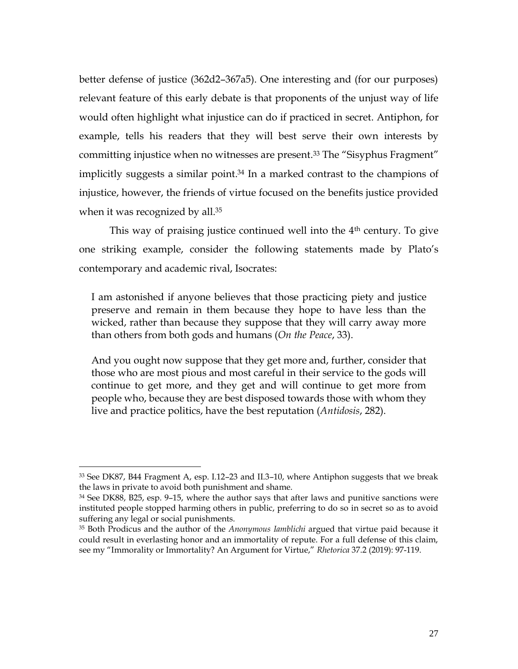better defense of justice (362d2–367a5). One interesting and (for our purposes) relevant feature of this early debate is that proponents of the unjust way of life would often highlight what injustice can do if practiced in secret. Antiphon, for example, tells his readers that they will best serve their own interests by committing injustice when no witnesses are present. <sup>33</sup> The "Sisyphus Fragment" implicitly suggests a similar point.<sup>34</sup> In a marked contrast to the champions of injustice, however, the friends of virtue focused on the benefits justice provided when it was recognized by all. 35

This way of praising justice continued well into the 4<sup>th</sup> century. To give one striking example, consider the following statements made by Plato's contemporary and academic rival, Isocrates:

I am astonished if anyone believes that those practicing piety and justice preserve and remain in them because they hope to have less than the wicked, rather than because they suppose that they will carry away more than others from both gods and humans (*On the Peace*, 33).

And you ought now suppose that they get more and, further, consider that those who are most pious and most careful in their service to the gods will continue to get more, and they get and will continue to get more from people who, because they are best disposed towards those with whom they live and practice politics, have the best reputation (*Antidosis*, 282).

<sup>33</sup> See DK87, B44 Fragment A, esp. I.12–23 and II.3–10, where Antiphon suggests that we break the laws in private to avoid both punishment and shame.

<sup>34</sup> See DK88, B25, esp. 9–15, where the author says that after laws and punitive sanctions were instituted people stopped harming others in public, preferring to do so in secret so as to avoid suffering any legal or social punishments.

<sup>35</sup> Both Prodicus and the author of the *Anonymous Iamblichi* argued that virtue paid because it could result in everlasting honor and an immortality of repute. For a full defense of this claim, see my "Immorality or Immortality? An Argument for Virtue," *Rhetorica* 37.2 (2019): 97-119.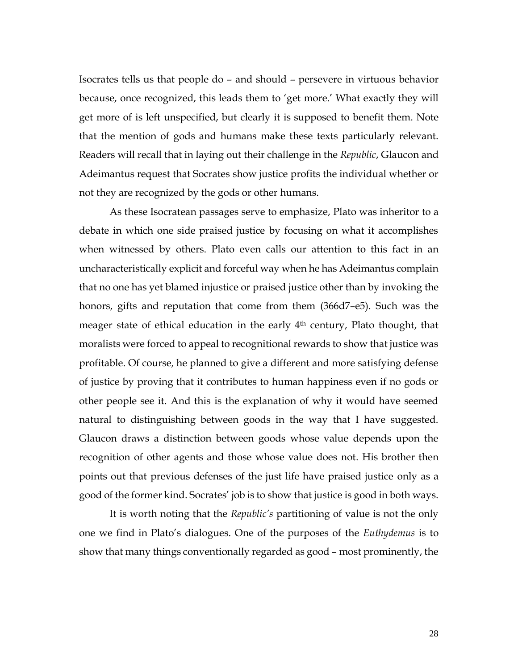Isocrates tells us that people do – and should – persevere in virtuous behavior because, once recognized, this leads them to 'get more.' What exactly they will get more of is left unspecified, but clearly it is supposed to benefit them. Note that the mention of gods and humans make these texts particularly relevant. Readers will recall that in laying out their challenge in the *Republic*, Glaucon and Adeimantus request that Socrates show justice profits the individual whether or not they are recognized by the gods or other humans.

As these Isocratean passages serve to emphasize, Plato was inheritor to a debate in which one side praised justice by focusing on what it accomplishes when witnessed by others. Plato even calls our attention to this fact in an uncharacteristically explicit and forceful way when he has Adeimantus complain that no one has yet blamed injustice or praised justice other than by invoking the honors, gifts and reputation that come from them (366d7–e5). Such was the meager state of ethical education in the early 4<sup>th</sup> century, Plato thought, that moralists were forced to appeal to recognitional rewards to show that justice was profitable. Of course, he planned to give a different and more satisfying defense of justice by proving that it contributes to human happiness even if no gods or other people see it. And this is the explanation of why it would have seemed natural to distinguishing between goods in the way that I have suggested. Glaucon draws a distinction between goods whose value depends upon the recognition of other agents and those whose value does not. His brother then points out that previous defenses of the just life have praised justice only as a good of the former kind. Socrates' job is to show that justice is good in both ways.

It is worth noting that the *Republic's* partitioning of value is not the only one we find in Plato's dialogues. One of the purposes of the *Euthydemus* is to show that many things conventionally regarded as good – most prominently, the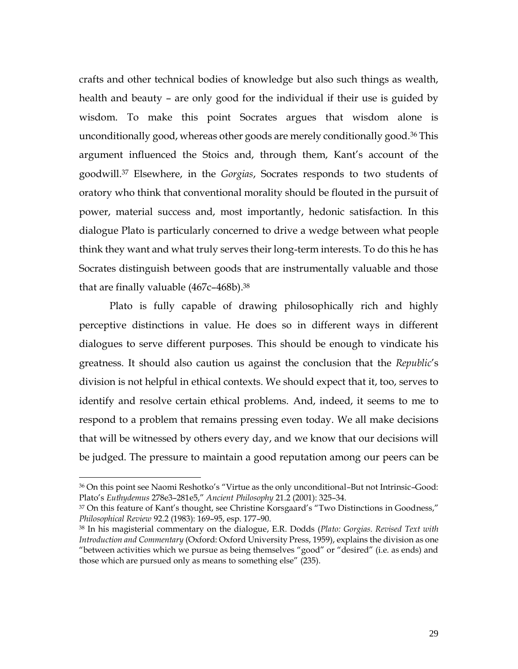crafts and other technical bodies of knowledge but also such things as wealth, health and beauty – are only good for the individual if their use is guided by wisdom. To make this point Socrates argues that wisdom alone is unconditionally good, whereas other goods are merely conditionally good. <sup>36</sup> This argument influenced the Stoics and, through them, Kant's account of the goodwill.<sup>37</sup> Elsewhere, in the *Gorgias*, Socrates responds to two students of oratory who think that conventional morality should be flouted in the pursuit of power, material success and, most importantly, hedonic satisfaction. In this dialogue Plato is particularly concerned to drive a wedge between what people think they want and what truly serves their long-term interests. To do this he has Socrates distinguish between goods that are instrumentally valuable and those that are finally valuable (467c–468b). 38

Plato is fully capable of drawing philosophically rich and highly perceptive distinctions in value. He does so in different ways in different dialogues to serve different purposes. This should be enough to vindicate his greatness. It should also caution us against the conclusion that the *Republic*'s division is not helpful in ethical contexts. We should expect that it, too, serves to identify and resolve certain ethical problems. And, indeed, it seems to me to respond to a problem that remains pressing even today. We all make decisions that will be witnessed by others every day, and we know that our decisions will be judged. The pressure to maintain a good reputation among our peers can be

<sup>36</sup> On this point see Naomi Reshotko's "Virtue as the only unconditional–But not Intrinsic–Good: Plato's *Euthydemus* 278e3–281e5," *Ancient Philosophy* 21.2 (2001): 325–34.

<sup>37</sup> On this feature of Kant's thought, see Christine Korsgaard's "Two Distinctions in Goodness," *Philosophical Review* 92.2 (1983): 169–95, esp. 177–90.

<sup>38</sup> In his magisterial commentary on the dialogue, E.R. Dodds (*Plato: Gorgias. Revised Text with Introduction and Commentary* (Oxford: Oxford University Press, 1959), explains the division as one "between activities which we pursue as being themselves "good" or "desired" (i.e. as ends) and those which are pursued only as means to something else" (235).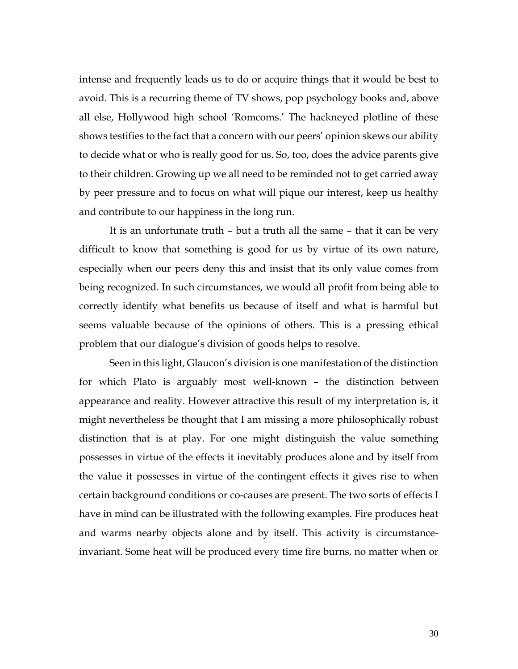intense and frequently leads us to do or acquire things that it would be best to avoid. This is a recurring theme of TV shows, pop psychology books and, above all else, Hollywood high school 'Romcoms.' The hackneyed plotline of these shows testifies to the fact that a concern with our peers' opinion skews our ability to decide what or who is really good for us. So, too, does the advice parents give to their children. Growing up we all need to be reminded not to get carried away by peer pressure and to focus on what will pique our interest, keep us healthy and contribute to our happiness in the long run.

It is an unfortunate truth – but a truth all the same – that it can be very difficult to know that something is good for us by virtue of its own nature, especially when our peers deny this and insist that its only value comes from being recognized. In such circumstances, we would all profit from being able to correctly identify what benefits us because of itself and what is harmful but seems valuable because of the opinions of others. This is a pressing ethical problem that our dialogue's division of goods helps to resolve.

Seen in this light, Glaucon's division is one manifestation of the distinction for which Plato is arguably most well-known – the distinction between appearance and reality. However attractive this result of my interpretation is, it might nevertheless be thought that I am missing a more philosophically robust distinction that is at play. For one might distinguish the value something possesses in virtue of the effects it inevitably produces alone and by itself from the value it possesses in virtue of the contingent effects it gives rise to when certain background conditions or co-causes are present. The two sorts of effects I have in mind can be illustrated with the following examples. Fire produces heat and warms nearby objects alone and by itself. This activity is circumstanceinvariant. Some heat will be produced every time fire burns, no matter when or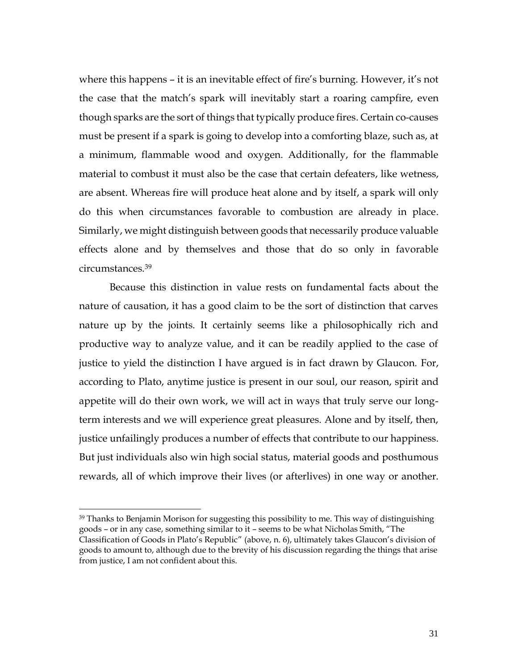where this happens – it is an inevitable effect of fire's burning. However, it's not the case that the match's spark will inevitably start a roaring campfire, even though sparks are the sort of things that typically produce fires. Certain co-causes must be present if a spark is going to develop into a comforting blaze, such as, at a minimum, flammable wood and oxygen. Additionally, for the flammable material to combust it must also be the case that certain defeaters, like wetness, are absent. Whereas fire will produce heat alone and by itself, a spark will only do this when circumstances favorable to combustion are already in place. Similarly, we might distinguish between goods that necessarily produce valuable effects alone and by themselves and those that do so only in favorable circumstances.<sup>39</sup>

Because this distinction in value rests on fundamental facts about the nature of causation, it has a good claim to be the sort of distinction that carves nature up by the joints. It certainly seems like a philosophically rich and productive way to analyze value, and it can be readily applied to the case of justice to yield the distinction I have argued is in fact drawn by Glaucon*.* For, according to Plato, anytime justice is present in our soul, our reason, spirit and appetite will do their own work, we will act in ways that truly serve our longterm interests and we will experience great pleasures. Alone and by itself, then, justice unfailingly produces a number of effects that contribute to our happiness. But just individuals also win high social status, material goods and posthumous rewards, all of which improve their lives (or afterlives) in one way or another.

 $39$  Thanks to Benjamin Morison for suggesting this possibility to me. This way of distinguishing goods – or in any case, something similar to it – seems to be what Nicholas Smith, "The Classification of Goods in Plato's Republic" (above, n. 6), ultimately takes Glaucon's division of goods to amount to, although due to the brevity of his discussion regarding the things that arise from justice, I am not confident about this.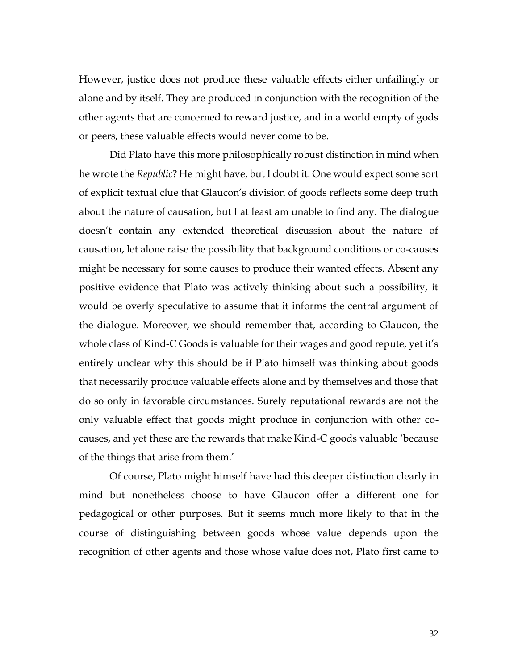However, justice does not produce these valuable effects either unfailingly or alone and by itself. They are produced in conjunction with the recognition of the other agents that are concerned to reward justice, and in a world empty of gods or peers, these valuable effects would never come to be.

Did Plato have this more philosophically robust distinction in mind when he wrote the *Republic*? He might have, but I doubt it. One would expect some sort of explicit textual clue that Glaucon's division of goods reflects some deep truth about the nature of causation, but I at least am unable to find any. The dialogue doesn't contain any extended theoretical discussion about the nature of causation, let alone raise the possibility that background conditions or co-causes might be necessary for some causes to produce their wanted effects. Absent any positive evidence that Plato was actively thinking about such a possibility, it would be overly speculative to assume that it informs the central argument of the dialogue. Moreover, we should remember that, according to Glaucon, the whole class of Kind-C Goods is valuable for their wages and good repute, yet it's entirely unclear why this should be if Plato himself was thinking about goods that necessarily produce valuable effects alone and by themselves and those that do so only in favorable circumstances. Surely reputational rewards are not the only valuable effect that goods might produce in conjunction with other cocauses, and yet these are the rewards that make Kind-C goods valuable 'because of the things that arise from them.'

Of course, Plato might himself have had this deeper distinction clearly in mind but nonetheless choose to have Glaucon offer a different one for pedagogical or other purposes. But it seems much more likely to that in the course of distinguishing between goods whose value depends upon the recognition of other agents and those whose value does not, Plato first came to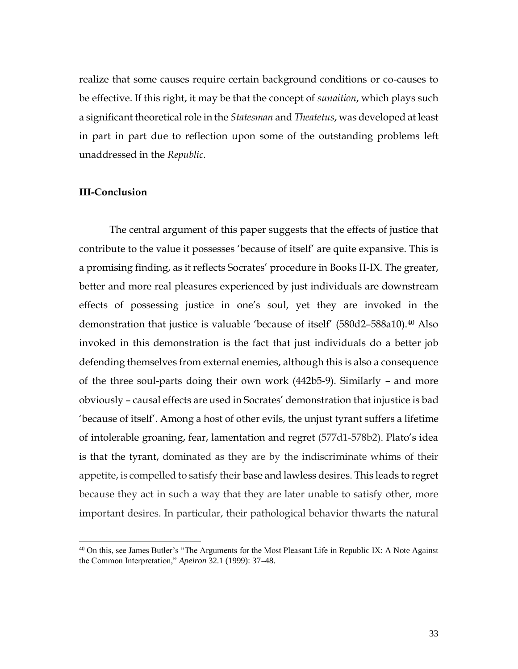realize that some causes require certain background conditions or co-causes to be effective. If this right, it may be that the concept of *sunaition*, which plays such a significant theoretical role in the *Statesman* and *Theatetus*, was developed at least in part in part due to reflection upon some of the outstanding problems left unaddressed in the *Republic.* 

## **III-Conclusion**

 $\overline{a}$ 

The central argument of this paper suggests that the effects of justice that contribute to the value it possesses 'because of itself' are quite expansive. This is a promising finding, as it reflects Socrates' procedure in Books II-IX. The greater, better and more real pleasures experienced by just individuals are downstream effects of possessing justice in one's soul, yet they are invoked in the demonstration that justice is valuable 'because of itself' (580d2-588a10).<sup>40</sup> Also invoked in this demonstration is the fact that just individuals do a better job defending themselves from external enemies, although this is also a consequence of the three soul-parts doing their own work (442b5-9). Similarly – and more obviously – causal effects are used in Socrates' demonstration that injustice is bad 'because of itself'. Among a host of other evils, the unjust tyrant suffers a lifetime of intolerable groaning, fear, lamentation and regret (577d1-578b2). Plato's idea is that the tyrant, dominated as they are by the indiscriminate whims of their appetite, is compelled to satisfy their base and lawless desires. This leads to regret because they act in such a way that they are later unable to satisfy other, more important desires. In particular, their pathological behavior thwarts the natural

<sup>&</sup>lt;sup>40</sup> On this, see James Butler's "The Arguments for the Most Pleasant Life in Republic IX: A Note Against the Common Interpretation," *Apeiron* 32.1 (1999): 37–48.